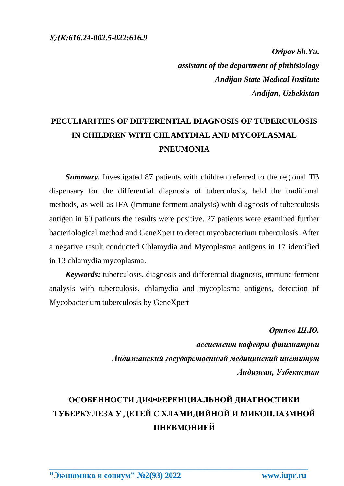*Oripov Sh.Yu. assistant of the department of phthisiology Andijan State Medical Institute Andijan, Uzbekistan*

## **PECULIARITIES OF DIFFERENTIAL DIAGNOSIS OF TUBERCULOSIS IN CHILDREN WITH CHLAMYDIAL AND MYCOPLASMAL PNEUMONIA**

*Summary.* Investigated 87 patients with children referred to the regional TB dispensary for the differential diagnosis of tuberculosis, held the traditional methods, as well as IFA (immune ferment analysis) with diagnosis of tuberculosis antigen in 60 patients the results were positive. 27 patients were examined further bacteriological method and GeneXpert to detect mycobacterium tuberculosis. After a negative result conducted Chlamydia and Mycoplasma antigens in 17 identified in 13 chlamydia mycoplasma.

*Keywords:* tuberculosis, diagnosis and differential diagnosis, immune ferment analysis with tuberculosis, chlamydia and mycoplasma antigens, detection of Mycobacterium tuberculosis by GeneXpert

> *Орипов Ш.Ю. ассистент кафедры фтизиатрии Андижанский государственный медицинский институт Андижан, Узбекистан*

## **ОСОБЕННОСТИ ДИФФЕРЕНЦИАЛЬНОЙ ДИАГНОСТИКИ ТУБЕРКУЛЕЗА У ДЕТЕЙ С ХЛАМИДИЙНОЙ И МИКОПЛАЗМНОЙ ПНЕВМОНИЕЙ**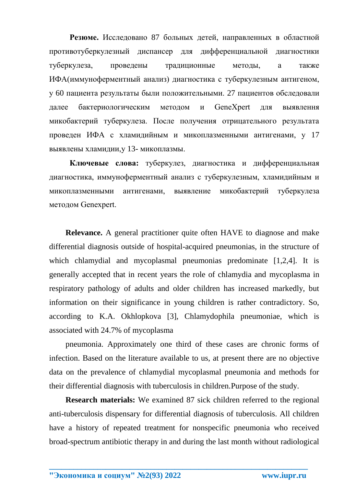**Резюме.** Исследовано 87 больных детей, направленных в областной противотуберкулезный диспансер для дифференциальной диагностики туберкулеза, проведены традиционные методы, a также ИФА(иммуноферментный анализ) диагностика с туберкулезным антигеном, у 60 пациента результаты были положительными. 27 пациентов обследовали далее бактериологическим методом и GeneXpert для выявлення микобактерий туберкулеза. После получения отрицательного результата проведен ИФА с хламидийным и микоплазменными антигенами, у 17 выявлены хламидии,у 13- микоплазмы.

**Ключевые слова:** туберкулез, диагностика и дифференциальная диагностика, иммуноферментный анализ с туберкулезным, хламидийным и микоплазменными антигенами, выявление микобактерий туберкулеза методом Genexpert.

**Relevance.** A general practitioner quite often HAVE to diagnose and make differential diagnosis outside of hospital-acquired pneumonias, in the structure of which chlamydial and mycoplasmal pneumonias predominate [1,2,4]. It is generally accepted that in recent years the role of chlamydia and mycoplasma in respiratory pathology of adults and older children has increased markedly, but information on their significance in young children is rather contradictory. So, according to K.A. Okhlopkova [3], Chlamydophila pneumoniae, which is associated with 24.7% of mycoplasma

pneumonia. Approximately one third of these cases are chronic forms of infection. Based on the literature available to us, at present there are no objective data on the prevalence of chlamydial mycoplasmal pneumonia and methods for their differential diagnosis with tuberculosis in children.Purpose of the study.

**Research materials:** We examined 87 sick children referred to the regional anti-tuberculosis dispensary for differential diagnosis of tuberculosis. All children have a history of repeated treatment for nonspecific pneumonia who received broad-spectrum antibiotic therapy in and during the last month without radiological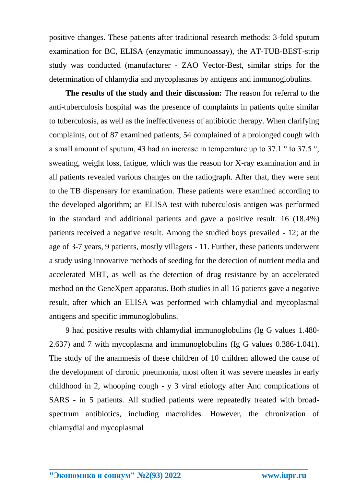positive changes. These patients after traditional research methods: 3-fold sputum examination for BC, ELISA (enzymatic immunoassay), the AT-TUB-BEST-strip study was conducted (manufacturer - ZAO Vector-Best, similar strips for the determination of chlamydia and mycoplasmas by antigens and immunoglobulins.

**The results of the study and their discussion:** The reason for referral to the anti-tuberculosis hospital was the presence of complaints in patients quite similar to tuberculosis, as well as the ineffectiveness of antibiotic therapy. When clarifying complaints, out of 87 examined patients, 54 complained of a prolonged cough with a small amount of sputum, 43 had an increase in temperature up to 37.1 ° to 37.5 °, sweating, weight loss, fatigue, which was the reason for X-ray examination and in all patients revealed various changes on the radiograph. After that, they were sent to the TB dispensary for examination. These patients were examined according to the developed algorithm; an ELISA test with tuberculosis antigen was performed in the standard and additional patients and gave a positive result. 16 (18.4%) patients received a negative result. Among the studied boys prevailed - 12; at the age of 3-7 years, 9 patients, mostly villagers - 11. Further, these patients underwent a study using innovative methods of seeding for the detection of nutrient media and accelerated MBT, as well as the detection of drug resistance by an accelerated method on the GeneXpert apparatus. Both studies in all 16 patients gave a negative result, after which an ELISA was performed with chlamydial and mycoplasmal antigens and specific immunoglobulins.

9 had positive results with chlamydial immunoglobulins (Ig G values 1.480- 2.637) and 7 with mycoplasma and immunoglobulins (Ig G values 0.386-1.041). The study of the anamnesis of these children of 10 children allowed the cause of the development of chronic pneumonia, most often it was severe measles in early childhood in 2, whooping cough - y 3 viral etiology after And complications of SARS - in 5 patients. All studied patients were repeatedly treated with broadspectrum antibiotics, including macrolides. However, the chronization of chlamydial and mycoplasmal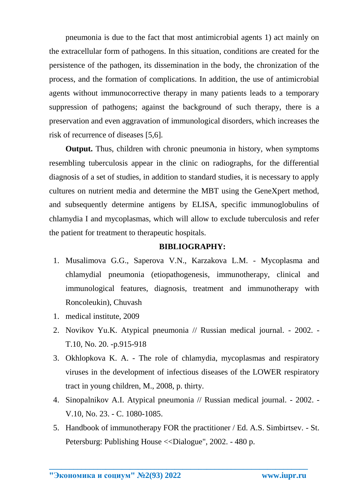pneumonia is due to the fact that most antimicrobial agents 1) act mainly on the extracellular form of pathogens. In this situation, conditions are created for the persistence of the pathogen, its dissemination in the body, the chronization of the process, and the formation of complications. In addition, the use of antimicrobial agents without immunocorrective therapy in many patients leads to a temporary suppression of pathogens; against the background of such therapy, there is a preservation and even aggravation of immunological disorders, which increases the risk of recurrence of diseases [5,6].

**Output.** Thus, children with chronic pneumonia in history, when symptoms resembling tuberculosis appear in the clinic on radiographs, for the differential diagnosis of a set of studies, in addition to standard studies, it is necessary to apply cultures on nutrient media and determine the MBT using the GeneXpert method, and subsequently determine antigens by ELISA, specific immunoglobulins of chlamydia I and mycoplasmas, which will allow to exclude tuberculosis and refer the patient for treatment to therapeutic hospitals.

## **BIBLIOGRAPHY:**

- 1. Musalimova G.G., Saperova V.N., Karzakova L.M. Mycoplasma and chlamydial pneumonia (etiopathogenesis, immunotherapy, clinical and immunological features, diagnosis, treatment and immunotherapy with Roncoleukin), Chuvash
- 1. medical institute, 2009
- 2. Novikov Yu.K. Atypical pneumonia // Russian medical journal. 2002. T.10, No. 20. -p.915-918
- 3. Okhlopkova K. A. The role of chlamydia, mycoplasmas and respiratory viruses in the development of infectious diseases of the LOWER respiratory tract in young children, M., 2008, p. thirty.
- 4. Sinopalnikov A.I. Atypical pneumonia // Russian medical journal. 2002. V.10, No. 23. - C. 1080-1085.
- 5. Handbook of immunotherapy FOR the practitioner / Ed. A.S. Simbirtsev. St. Petersburg: Publishing House <<Dialogue", 2002. - 480 p.